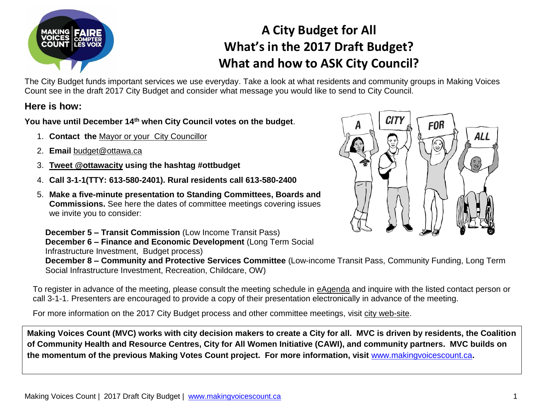

## **A City Budget for All What's in the 2017 Draft Budget? What and how to ASK City Council?**

The City Budget funds important services we use everyday. Take a look at what residents and community groups in Making Voices Count see in the draft 2017 City Budget and consider what message you would like to send to City Council.

## **Here is how:**

**You have until December 14th when City Council votes on the budget**.

- 1. **Contact the** [Mayor or your City Councillor](http://ottawa.ca/en/city-council)
- 2. **Email** [budget@ottawa.ca](mailto:budget@ottawa.ca)
- 3. **Tweet [@ottawacity](mailto:Tweet@ottawacity) using the hashtag #ottbudget**
- 4. **Call 3-1-1(TTY: 613-580-2401). Rural residents call 613-580-2400**
- 5. **Make a five-minute presentation to Standing Committees, Boards and Commissions.** See here the dates of committee meetings covering issues we invite you to consider:



**December 5 – Transit Commission** (Low Income Transit Pass) **December 6 – Finance and Economic Development** (Long Term Social Infrastructure Investment, Budget process) **December 8 – Community and Protective Services Committee** (Low-income Transit Pass, Community Funding, Long Term

Social Infrastructure Investment, Recreation, Childcare, OW)

To register in advance of the meeting, please consult the meeting schedule in [eAgenda](http://app05.ottawa.ca/sirepub/agendaminutes/index_en.aspx) and inquire with the listed contact person or call 3-1-1. Presenters are encouraged to provide a copy of their presentation electronically in advance of the meeting.

For more information on the 2017 City Budget process and other committee meetings, visit [city web-site.](http://ottawa.ca/en/city-budget-have-your-say)

**Making Voices Count (MVC) works with city decision makers to create a City for all. MVC is driven by residents, the Coalition of Community Health and Resource Centres, City for All Women Initiative (CAWI), and community partners. MVC builds on the momentum of the previous Making Votes Count project. For more information, visit** [www.makingvoicescount.ca](http://www.makingvoicescount.ca/)**.**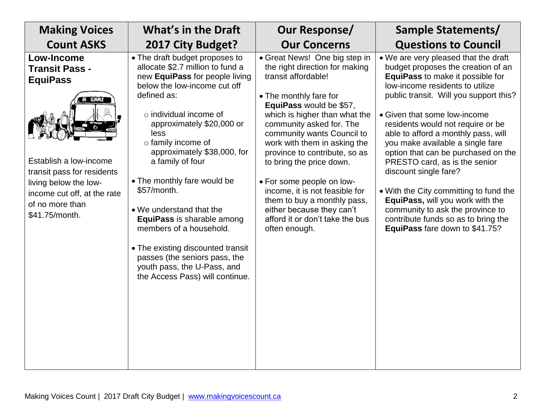| <b>Making Voices</b>                                                                                                                                                                                               | <b>What's in the Draft</b>                                                                                                                                                                                                                                                                                                                                                                                                                                                                                                                                                         | Our Response/                                                                                                                                                                                                                                                                                                                                                                                                                                                                                                      | Sample Statements/                                                                                                                                                                                                                                                                                                                                                                                                                                                                                                                                                                                                                      |
|--------------------------------------------------------------------------------------------------------------------------------------------------------------------------------------------------------------------|------------------------------------------------------------------------------------------------------------------------------------------------------------------------------------------------------------------------------------------------------------------------------------------------------------------------------------------------------------------------------------------------------------------------------------------------------------------------------------------------------------------------------------------------------------------------------------|--------------------------------------------------------------------------------------------------------------------------------------------------------------------------------------------------------------------------------------------------------------------------------------------------------------------------------------------------------------------------------------------------------------------------------------------------------------------------------------------------------------------|-----------------------------------------------------------------------------------------------------------------------------------------------------------------------------------------------------------------------------------------------------------------------------------------------------------------------------------------------------------------------------------------------------------------------------------------------------------------------------------------------------------------------------------------------------------------------------------------------------------------------------------------|
| <b>Count ASKS</b>                                                                                                                                                                                                  | 2017 City Budget?                                                                                                                                                                                                                                                                                                                                                                                                                                                                                                                                                                  | <b>Our Concerns</b>                                                                                                                                                                                                                                                                                                                                                                                                                                                                                                | <b>Questions to Council</b>                                                                                                                                                                                                                                                                                                                                                                                                                                                                                                                                                                                                             |
| <b>Low-Income</b><br><b>Transit Pass -</b><br><b>EquiPass</b><br>Establish a low-income<br>transit pass for residents<br>living below the low-<br>income cut off, at the rate<br>of no more than<br>\$41.75/month. | • The draft budget proposes to<br>allocate \$2.7 million to fund a<br>new EquiPass for people living<br>below the low-income cut off<br>defined as:<br>$\circ$ individual income of<br>approximately \$20,000 or<br>less<br>$\circ$ family income of<br>approximately \$38,000, for<br>a family of four<br>• The monthly fare would be<br>\$57/month.<br>• We understand that the<br>EquiPass is sharable among<br>members of a household.<br>• The existing discounted transit<br>passes (the seniors pass, the<br>youth pass, the U-Pass, and<br>the Access Pass) will continue. | • Great News! One big step in<br>the right direction for making<br>transit affordable!<br>• The monthly fare for<br>EquiPass would be \$57,<br>which is higher than what the<br>community asked for. The<br>community wants Council to<br>work with them in asking the<br>province to contribute, so as<br>to bring the price down.<br>• For some people on low-<br>income, it is not feasible for<br>them to buy a monthly pass,<br>either because they can't<br>afford it or don't take the bus<br>often enough. | • We are very pleased that the draft<br>budget proposes the creation of an<br>EquiPass to make it possible for<br>low-income residents to utilize<br>public transit. Will you support this?<br>• Given that some low-income<br>residents would not require or be<br>able to afford a monthly pass, will<br>you make available a single fare<br>option that can be purchased on the<br>PRESTO card, as is the senior<br>discount single fare?<br>• With the City committing to fund the<br>EquiPass, will you work with the<br>community to ask the province to<br>contribute funds so as to bring the<br>EquiPass fare down to \$41.75? |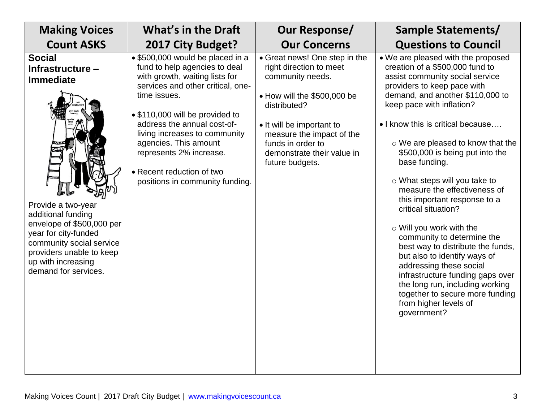| <b>Making Voices</b>                                                                                                                                                                                                                                         | <b>What's in the Draft</b>                                                                                                                                                                                                                                                                                                                                                      | Our Response/                                                                                                                                                                                                                                               | <b>Sample Statements/</b>                                                                                                                                                                                                                                                                                                                                                                                                                                                                                                                                                                                                                                                                                                                                                              |
|--------------------------------------------------------------------------------------------------------------------------------------------------------------------------------------------------------------------------------------------------------------|---------------------------------------------------------------------------------------------------------------------------------------------------------------------------------------------------------------------------------------------------------------------------------------------------------------------------------------------------------------------------------|-------------------------------------------------------------------------------------------------------------------------------------------------------------------------------------------------------------------------------------------------------------|----------------------------------------------------------------------------------------------------------------------------------------------------------------------------------------------------------------------------------------------------------------------------------------------------------------------------------------------------------------------------------------------------------------------------------------------------------------------------------------------------------------------------------------------------------------------------------------------------------------------------------------------------------------------------------------------------------------------------------------------------------------------------------------|
| <b>Count ASKS</b>                                                                                                                                                                                                                                            | 2017 City Budget?                                                                                                                                                                                                                                                                                                                                                               | <b>Our Concerns</b>                                                                                                                                                                                                                                         | <b>Questions to Council</b>                                                                                                                                                                                                                                                                                                                                                                                                                                                                                                                                                                                                                                                                                                                                                            |
| <b>Social</b><br>Infrastructure -<br><b>Immediate</b><br>Provide a two-year<br>additional funding<br>envelope of \$500,000 per<br>year for city-funded<br>community social service<br>providers unable to keep<br>up with increasing<br>demand for services. | • \$500,000 would be placed in a<br>fund to help agencies to deal<br>with growth, waiting lists for<br>services and other critical, one-<br>time issues.<br>• \$110,000 will be provided to<br>address the annual cost-of-<br>living increases to community<br>agencies. This amount<br>represents 2% increase.<br>• Recent reduction of two<br>positions in community funding. | • Great news! One step in the<br>right direction to meet<br>community needs.<br>• How will the \$500,000 be<br>distributed?<br>• It will be important to<br>measure the impact of the<br>funds in order to<br>demonstrate their value in<br>future budgets. | • We are pleased with the proposed<br>creation of a \$500,000 fund to<br>assist community social service<br>providers to keep pace with<br>demand, and another \$110,000 to<br>keep pace with inflation?<br>• I know this is critical because<br>$\circ$ We are pleased to know that the<br>\$500,000 is being put into the<br>base funding.<br>$\circ$ What steps will you take to<br>measure the effectiveness of<br>this important response to a<br>critical situation?<br>o Will you work with the<br>community to determine the<br>best way to distribute the funds,<br>but also to identify ways of<br>addressing these social<br>infrastructure funding gaps over<br>the long run, including working<br>together to secure more funding<br>from higher levels of<br>government? |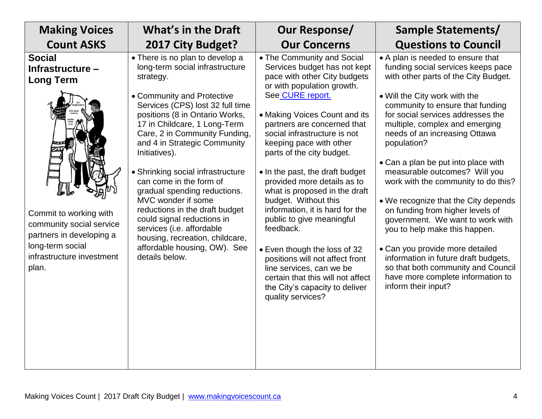| <b>Making Voices</b>                                                                                                                                                                              | <b>What's in the Draft</b>                                                                                                                                                                                                                                                                                                                                                                                                                                                                                                                                                                                    | Our Response/                                                                                                                                                                                                                                                                                                                                                                                                                                                                                                                                                                                                                                                                                           | Sample Statements/                                                                                                                                                                                                                                                                                                                                                                                                                                                                                                                                                                                                                                                                                                                                       |
|---------------------------------------------------------------------------------------------------------------------------------------------------------------------------------------------------|---------------------------------------------------------------------------------------------------------------------------------------------------------------------------------------------------------------------------------------------------------------------------------------------------------------------------------------------------------------------------------------------------------------------------------------------------------------------------------------------------------------------------------------------------------------------------------------------------------------|---------------------------------------------------------------------------------------------------------------------------------------------------------------------------------------------------------------------------------------------------------------------------------------------------------------------------------------------------------------------------------------------------------------------------------------------------------------------------------------------------------------------------------------------------------------------------------------------------------------------------------------------------------------------------------------------------------|----------------------------------------------------------------------------------------------------------------------------------------------------------------------------------------------------------------------------------------------------------------------------------------------------------------------------------------------------------------------------------------------------------------------------------------------------------------------------------------------------------------------------------------------------------------------------------------------------------------------------------------------------------------------------------------------------------------------------------------------------------|
| <b>Count ASKS</b>                                                                                                                                                                                 | 2017 City Budget?                                                                                                                                                                                                                                                                                                                                                                                                                                                                                                                                                                                             | <b>Our Concerns</b>                                                                                                                                                                                                                                                                                                                                                                                                                                                                                                                                                                                                                                                                                     | <b>Questions to Council</b>                                                                                                                                                                                                                                                                                                                                                                                                                                                                                                                                                                                                                                                                                                                              |
| <b>Social</b><br>Infrastructure -<br><b>Long Term</b><br>Commit to working with<br>community social service<br>partners in developing a<br>long-term social<br>infrastructure investment<br>plan. | • There is no plan to develop a<br>long-term social infrastructure<br>strategy.<br>• Community and Protective<br>Services (CPS) lost 32 full time<br>positions (8 in Ontario Works,<br>17 in Childcare, 1 Long-Term<br>Care, 2 in Community Funding,<br>and 4 in Strategic Community<br>Initiatives).<br>• Shrinking social infrastructure<br>can come in the form of<br>gradual spending reductions.<br>MVC wonder if some<br>reductions in the draft budget<br>could signal reductions in<br>services (i.e. affordable<br>housing, recreation, childcare,<br>affordable housing, OW). See<br>details below. | • The Community and Social<br>Services budget has not kept<br>pace with other City budgets<br>or with population growth.<br>See CURE report.<br>• Making Voices Count and its<br>partners are concerned that<br>social infrastructure is not<br>keeping pace with other<br>parts of the city budget.<br>• In the past, the draft budget<br>provided more details as to<br>what is proposed in the draft<br>budget. Without this<br>information, it is hard for the<br>public to give meaningful<br>feedback.<br>• Even though the loss of 32<br>positions will not affect front<br>line services, can we be<br>certain that this will not affect<br>the City's capacity to deliver<br>quality services? | • A plan is needed to ensure that<br>funding social services keeps pace<br>with other parts of the City Budget.<br>• Will the City work with the<br>community to ensure that funding<br>for social services addresses the<br>multiple, complex and emerging<br>needs of an increasing Ottawa<br>population?<br>• Can a plan be put into place with<br>measurable outcomes? Will you<br>work with the community to do this?<br>. We recognize that the City depends<br>on funding from higher levels of<br>government. We want to work with<br>you to help make this happen.<br>• Can you provide more detailed<br>information in future draft budgets,<br>so that both community and Council<br>have more complete information to<br>inform their input? |
|                                                                                                                                                                                                   |                                                                                                                                                                                                                                                                                                                                                                                                                                                                                                                                                                                                               |                                                                                                                                                                                                                                                                                                                                                                                                                                                                                                                                                                                                                                                                                                         |                                                                                                                                                                                                                                                                                                                                                                                                                                                                                                                                                                                                                                                                                                                                                          |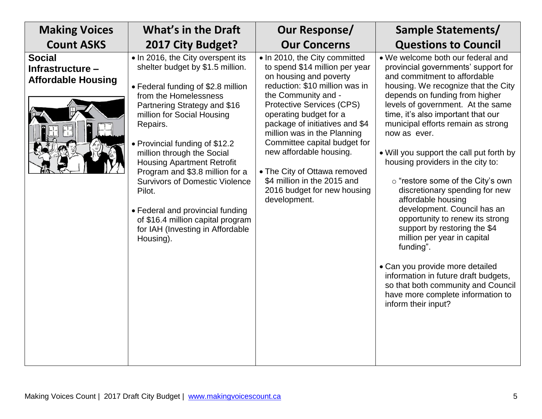| <b>Making Voices</b>                                           | <b>What's in the Draft</b>                                                                                                                                                                                                                                                                                                                                                                                                                                                                                                          | Our Response/                                                                                                                                                                                                                                                                                                                                                                                                                                              | Sample Statements/                                                                                                                                                                                                                                                                                                                                                                                                                                                                                                                                                                                                                                                                                                                                                                                                          |
|----------------------------------------------------------------|-------------------------------------------------------------------------------------------------------------------------------------------------------------------------------------------------------------------------------------------------------------------------------------------------------------------------------------------------------------------------------------------------------------------------------------------------------------------------------------------------------------------------------------|------------------------------------------------------------------------------------------------------------------------------------------------------------------------------------------------------------------------------------------------------------------------------------------------------------------------------------------------------------------------------------------------------------------------------------------------------------|-----------------------------------------------------------------------------------------------------------------------------------------------------------------------------------------------------------------------------------------------------------------------------------------------------------------------------------------------------------------------------------------------------------------------------------------------------------------------------------------------------------------------------------------------------------------------------------------------------------------------------------------------------------------------------------------------------------------------------------------------------------------------------------------------------------------------------|
| <b>Count ASKS</b>                                              | 2017 City Budget?                                                                                                                                                                                                                                                                                                                                                                                                                                                                                                                   | <b>Our Concerns</b>                                                                                                                                                                                                                                                                                                                                                                                                                                        | <b>Questions to Council</b>                                                                                                                                                                                                                                                                                                                                                                                                                                                                                                                                                                                                                                                                                                                                                                                                 |
| <b>Social</b><br>Infrastructure -<br><b>Affordable Housing</b> | . In 2016, the City overspent its<br>shelter budget by \$1.5 million.<br>• Federal funding of \$2.8 million<br>from the Homelessness<br>Partnering Strategy and \$16<br>million for Social Housing<br>Repairs.<br>• Provincial funding of \$12.2<br>million through the Social<br><b>Housing Apartment Retrofit</b><br>Program and \$3.8 million for a<br><b>Survivors of Domestic Violence</b><br>Pilot.<br>• Federal and provincial funding<br>of \$16.4 million capital program<br>for IAH (Investing in Affordable<br>Housing). | • In 2010, the City committed<br>to spend \$14 million per year<br>on housing and poverty<br>reduction: \$10 million was in<br>the Community and -<br><b>Protective Services (CPS)</b><br>operating budget for a<br>package of initiatives and \$4<br>million was in the Planning<br>Committee capital budget for<br>new affordable housing.<br>• The City of Ottawa removed<br>\$4 million in the 2015 and<br>2016 budget for new housing<br>development. | • We welcome both our federal and<br>provincial governments' support for<br>and commitment to affordable<br>housing. We recognize that the City<br>depends on funding from higher<br>levels of government. At the same<br>time, it's also important that our<br>municipal efforts remain as strong<br>now as ever.<br>• Will you support the call put forth by<br>housing providers in the city to:<br>o "restore some of the City's own<br>discretionary spending for new<br>affordable housing<br>development. Council has an<br>opportunity to renew its strong<br>support by restoring the \$4<br>million per year in capital<br>funding".<br>• Can you provide more detailed<br>information in future draft budgets,<br>so that both community and Council<br>have more complete information to<br>inform their input? |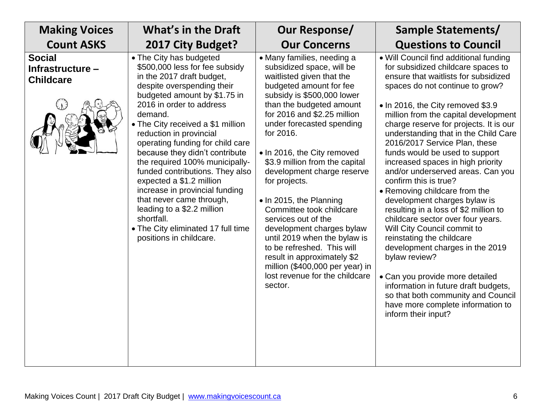| <b>Making Voices</b>                                  | <b>What's in the Draft</b>                                                                                                                                                                                                                                                                                                                                                                                                                                                                                                                                                                                    | Our Response/                                                                                                                                                                                                                                                                                                                                                                                                                                                                                                                                                                                                                                              | Sample Statements/                                                                                                                                                                                                                                                                                                                                                                                                                                                                                                                                                                                                                                                                                                                                                                                                                                                                                                                       |
|-------------------------------------------------------|---------------------------------------------------------------------------------------------------------------------------------------------------------------------------------------------------------------------------------------------------------------------------------------------------------------------------------------------------------------------------------------------------------------------------------------------------------------------------------------------------------------------------------------------------------------------------------------------------------------|------------------------------------------------------------------------------------------------------------------------------------------------------------------------------------------------------------------------------------------------------------------------------------------------------------------------------------------------------------------------------------------------------------------------------------------------------------------------------------------------------------------------------------------------------------------------------------------------------------------------------------------------------------|------------------------------------------------------------------------------------------------------------------------------------------------------------------------------------------------------------------------------------------------------------------------------------------------------------------------------------------------------------------------------------------------------------------------------------------------------------------------------------------------------------------------------------------------------------------------------------------------------------------------------------------------------------------------------------------------------------------------------------------------------------------------------------------------------------------------------------------------------------------------------------------------------------------------------------------|
| <b>Count ASKS</b>                                     | 2017 City Budget?                                                                                                                                                                                                                                                                                                                                                                                                                                                                                                                                                                                             | <b>Our Concerns</b>                                                                                                                                                                                                                                                                                                                                                                                                                                                                                                                                                                                                                                        | <b>Questions to Council</b>                                                                                                                                                                                                                                                                                                                                                                                                                                                                                                                                                                                                                                                                                                                                                                                                                                                                                                              |
| <b>Social</b><br>Infrastructure -<br><b>Childcare</b> | • The City has budgeted<br>\$500,000 less for fee subsidy<br>in the 2017 draft budget,<br>despite overspending their<br>budgeted amount by \$1.75 in<br>2016 in order to address<br>demand.<br>• The City received a \$1 million<br>reduction in provincial<br>operating funding for child care<br>because they didn't contribute<br>the required 100% municipally-<br>funded contributions. They also<br>expected a \$1.2 million<br>increase in provincial funding<br>that never came through,<br>leading to a \$2.2 million<br>shortfall.<br>• The City eliminated 17 full time<br>positions in childcare. | • Many families, needing a<br>subsidized space, will be<br>waitlisted given that the<br>budgeted amount for fee<br>subsidy is \$500,000 lower<br>than the budgeted amount<br>for 2016 and \$2.25 million<br>under forecasted spending<br>for 2016.<br>• In 2016, the City removed<br>\$3.9 million from the capital<br>development charge reserve<br>for projects.<br>• In 2015, the Planning<br>Committee took childcare<br>services out of the<br>development charges bylaw<br>until 2019 when the bylaw is<br>to be refreshed. This will<br>result in approximately \$2<br>million (\$400,000 per year) in<br>lost revenue for the childcare<br>sector. | • Will Council find additional funding<br>for subsidized childcare spaces to<br>ensure that waitlists for subsidized<br>spaces do not continue to grow?<br>• In 2016, the City removed \$3.9<br>million from the capital development<br>charge reserve for projects. It is our<br>understanding that in the Child Care<br>2016/2017 Service Plan, these<br>funds would be used to support<br>increased spaces in high priority<br>and/or underserved areas. Can you<br>confirm this is true?<br>• Removing childcare from the<br>development charges bylaw is<br>resulting in a loss of \$2 million to<br>childcare sector over four years.<br>Will City Council commit to<br>reinstating the childcare<br>development charges in the 2019<br>bylaw review?<br>• Can you provide more detailed<br>information in future draft budgets,<br>so that both community and Council<br>have more complete information to<br>inform their input? |